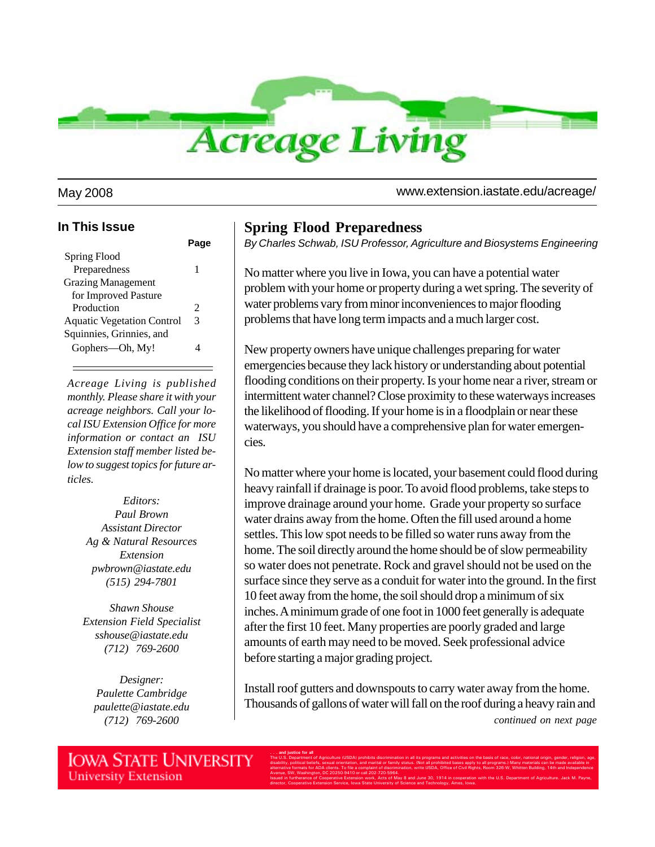

#### **In This Issue**

| Spring Flood                      |   |
|-----------------------------------|---|
| Preparedness                      | 1 |
| <b>Grazing Management</b>         |   |
| for Improved Pasture              |   |
| Production                        | 2 |
| <b>Aquatic Vegetation Control</b> | 3 |
| Squinnies, Grinnies, and          |   |
| Gophers-Oh, My!                   |   |
|                                   |   |

*Acreage Living is published monthly. Please share it with your acreage neighbors. Call your local ISU Extension Office for more information or contact an ISU Extension staff member listed below to suggest topics for future articles.*

> *Editors: Paul Brown Assistant Director Ag & Natural Resources Extension pwbrown@iastate.edu (515) 294-7801*

*Shawn Shouse Extension Field Specialist sshouse@iastate.edu (712) 769-2600*

*Designer: Paulette Cambridge paulette@iastate.edu (712) 769-2600*

**University Extension** 

### **Spring Flood Preparedness**

*By Charles Schwab, ISU Professor, Agriculture and Biosystems Engineering*

No matter where you live in Iowa, you can have a potential water problem with your home or property during a wet spring. The severity of water problems vary from minor inconveniences to major flooding problems that have long term impacts and a much larger cost.

New property owners have unique challenges preparing for water emergencies because they lack history or understanding about potential flooding conditions on their property. Is your home near a river, stream or intermittent water channel? Close proximity to these waterways increases the likelihood of flooding. If your home is in a floodplain or near these waterways, you should have a comprehensive plan for water emergencies.

No matter where your home is located, your basement could flood during heavy rainfall if drainage is poor. To avoid flood problems, take steps to improve drainage around your home. Grade your property so surface water drains away from the home. Often the fill used around a home settles. This low spot needs to be filled so water runs away from the home. The soil directly around the home should be of slow permeability so water does not penetrate. Rock and gravel should not be used on the surface since they serve as a conduit for water into the ground. In the first 10 feet away from the home, the soil should drop a minimum of six inches. A minimum grade of one foot in 1000 feet generally is adequate after the first 10 feet. Many properties are poorly graded and large amounts of earth may need to be moved. Seek professional advice before starting a major grading project.

Install roof gutters and downspouts to carry water away from the home. Thousands of gallons of water will fall on the roof during a heavy rain and *continued on next page*

**. . . and justice for all IOWA STATE UNIVERSITY** The U.S. Department of Agriculture (USDA) prohibits discrimination in all its programs and activities on the basis of race, color, national origin, gender, religion, age, disability, political beliefs, sexual orientation, and marital or family status. (Not all prohibited bases apply to all programs.) Many materials can be made available in alternative formats for ADA clients. To file a complaint of discrimination, write USDA, Office of Civil Rights, Room 326-W, Whitten Building, 14th and Independence Avenue, SW, Washington, DC 20250-9410 or call 202-720-5964. Issued in furtherance of Cooperative Extension work, Acts of May 8 and June 30, 1914 in cooperation with the U.S. Department of Agriculture. Jack M. Payne, director, Cooperative Extension Service, Iowa State University of Science and Technology, Ames, Iowa.

May 2008 www.extension.iastate.edu/acreage/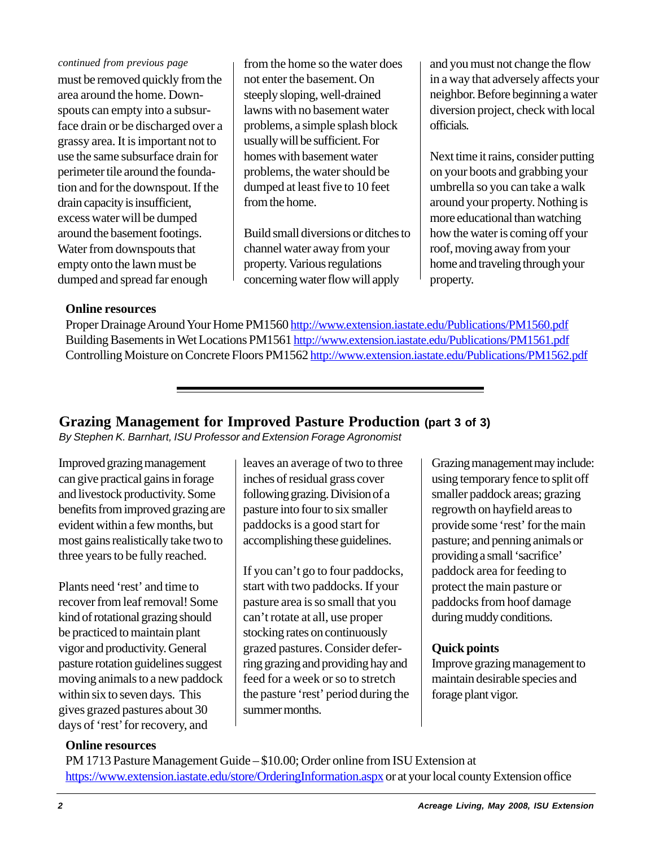#### *continued from previous page*

must be removed quickly from the area around the home. Downspouts can empty into a subsurface drain or be discharged over a grassy area. It is important not to use the same subsurface drain for perimeter tile around the foundation and for the downspout. If the drain capacity is insufficient, excess water will be dumped around the basement footings. Water from downspouts that empty onto the lawn must be dumped and spread far enough

from the home so the water does not enter the basement. On steeply sloping, well-drained lawns with no basement water problems, a simple splash block usually will be sufficient. For homes with basement water problems, the water should be dumped at least five to 10 feet from the home.

Build small diversions or ditches to channel water away from your property. Various regulations concerning water flow will apply

and you must not change the flow in a way that adversely affects your neighbor. Before beginning a water diversion project, check with local officials.

Next time it rains, consider putting on your boots and grabbing your umbrella so you can take a walk around your property. Nothing is more educational than watching how the water is coming off your roof, moving away from your home and traveling through your property.

### **Online resources**

Proper Drainage Around Your Home PM1560 http://www.extension.iastate.edu/Publications/PM1560.pdf Building Basements in Wet Locations PM1561 http://www.extension.iastate.edu/Publications/PM1561.pdf Controlling Moisture on Concrete Floors PM1562 http://www.extension.iastate.edu/Publications/PM1562.pdf

## **Grazing Management for Improved Pasture Production (part 3 of 3)**

*By Stephen K. Barnhart, ISU Professor and Extension Forage Agronomist*

Improved grazing management can give practical gains in forage and livestock productivity. Some benefits from improved grazing are evident within a few months, but most gains realistically take two to three years to be fully reached.

Plants need 'rest' and time to recover from leaf removal! Some kind of rotational grazing should be practiced to maintain plant vigor and productivity. General pasture rotation guidelines suggest moving animals to a new paddock within six to seven days. This gives grazed pastures about 30 days of 'rest' for recovery, and

leaves an average of two to three inches of residual grass cover following grazing. Division of a pasture into four to six smaller paddocks is a good start for accomplishing these guidelines.

If you can't go to four paddocks, start with two paddocks. If your pasture area is so small that you can't rotate at all, use proper stocking rates on continuously grazed pastures. Consider deferring grazing and providing hay and feed for a week or so to stretch the pasture 'rest' period during the summer months.

Grazing management may include: using temporary fence to split off smaller paddock areas; grazing regrowth on hayfield areas to provide some 'rest' for the main pasture; and penning animals or providing a small 'sacrifice' paddock area for feeding to protect the main pasture or paddocks from hoof damage during muddy conditions.

## **Quick points**

Improve grazing management to maintain desirable species and forage plant vigor.

### **Online resources**

PM 1713 Pasture Management Guide – \$10.00; Order online from ISU Extension at https://www.extension.iastate.edu/store/OrderingInformation.aspx or at your local county Extension office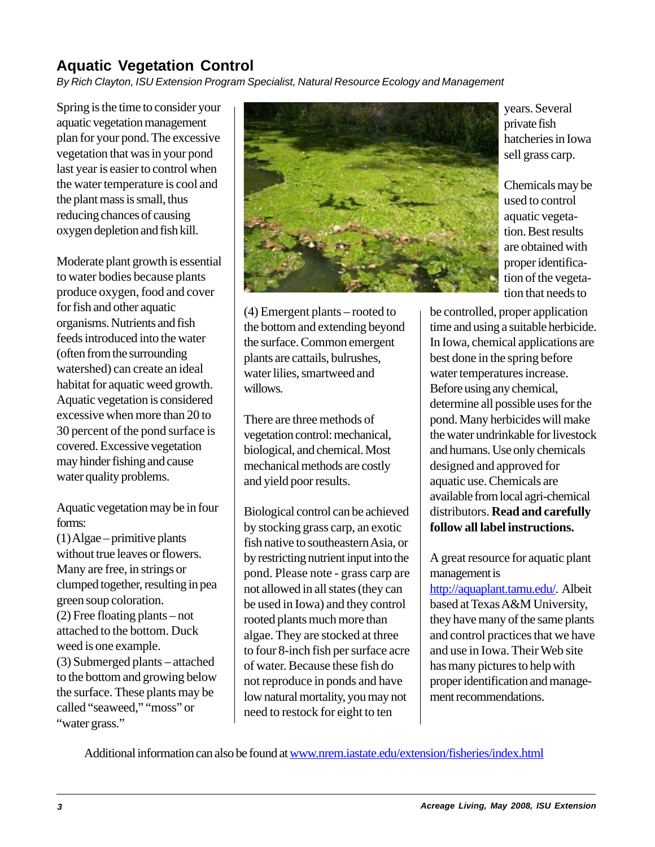# **Aquatic Vegetation Control**

*By Rich Clayton, ISU Extension Program Specialist, Natural Resource Ecology and Management*

Spring is the time to consider your aquatic vegetation management plan for your pond. The excessive vegetation that was in your pond last year is easier to control when the water temperature is cool and the plant mass is small, thus reducing chances of causing oxygen depletion and fish kill.

Moderate plant growth is essential to water bodies because plants produce oxygen, food and cover for fish and other aquatic organisms. Nutrients and fish feeds introduced into the water (often from the surrounding watershed) can create an ideal habitat for aquatic weed growth. Aquatic vegetation is considered excessive when more than 20 to 30 percent of the pond surface is covered. Excessive vegetation may hinder fishing and cause water quality problems.

Aquatic vegetation may be in four forms:

(1) Algae – primitive plants without true leaves or flowers. Many are free, in strings or clumped together, resulting in pea green soup coloration. (2) Free floating plants – not attached to the bottom. Duck weed is one example. (3) Submerged plants – attached to the bottom and growing below the surface. These plants may be called "seaweed," "moss" or "water grass."



(4) Emergent plants – rooted to the bottom and extending beyond the surface. Common emergent plants are cattails, bulrushes, water lilies, smartweed and willows.

There are three methods of vegetation control: mechanical, biological, and chemical. Most mechanical methods are costly and yield poor results.

Biological control can be achieved by stocking grass carp, an exotic fish native to southeastern Asia, or by restricting nutrient input into the pond. Please note - grass carp are not allowed in all states (they can be used in Iowa) and they control rooted plants much more than algae. They are stocked at three to four 8-inch fish per surface acre of water. Because these fish do not reproduce in ponds and have low natural mortality, you may not need to restock for eight to ten

years. Several private fish hatcheries in Iowa sell grass carp.

Chemicals may be used to control aquatic vegetation. Best results are obtained with proper identification of the vegetation that needs to

be controlled, proper application time and using a suitable herbicide. In Iowa, chemical applications are best done in the spring before water temperatures increase. Before using any chemical, determine all possible uses for the pond. Many herbicides will make the water undrinkable for livestock and humans. Use only chemicals designed and approved for aquatic use. Chemicals are available from local agri-chemical distributors. **Read and carefully follow all label instructions.**

A great resource for aquatic plant management is

http://aquaplant.tamu.edu/. Albeit based at Texas A&M University, they have many of the same plants and control practices that we have and use in Iowa. Their Web site has many pictures to help with proper identification and management recommendations.

Additional information can also be found at www.nrem.iastate.edu/extension/fisheries/index.html